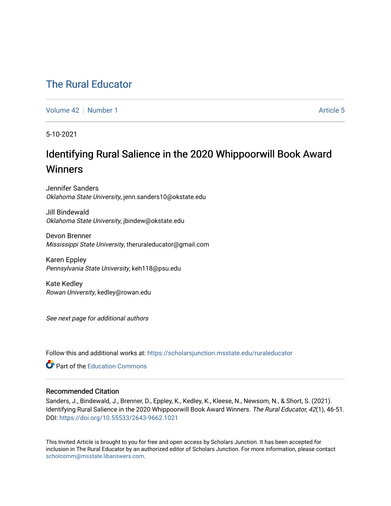# [The Rural Educator](https://scholarsjunction.msstate.edu/ruraleducator)

[Volume 42](https://scholarsjunction.msstate.edu/ruraleducator/vol42) [Number 1](https://scholarsjunction.msstate.edu/ruraleducator/vol42/iss1) Article 5

5-10-2021

# Identifying Rural Salience in the 2020 Whippoorwill Book Award **Winners**

Jennifer Sanders Oklahoma State University, jenn.sanders10@okstate.edu

Jill Bindewald Oklahoma State University, jbindew@okstate.edu

Devon Brenner Mississippi State University, theruraleducator@gmail.com

Karen Eppley Pennsylvania State University, keh118@psu.edu

Kate Kedley Rowan University, kedley@rowan.edu

See next page for additional authors

Follow this and additional works at: [https://scholarsjunction.msstate.edu/ruraleducator](https://scholarsjunction.msstate.edu/ruraleducator?utm_source=scholarsjunction.msstate.edu%2Fruraleducator%2Fvol42%2Fiss1%2F5&utm_medium=PDF&utm_campaign=PDFCoverPages)

**Part of the [Education Commons](https://network.bepress.com/hgg/discipline/784?utm_source=scholarsjunction.msstate.edu%2Fruraleducator%2Fvol42%2Fiss1%2F5&utm_medium=PDF&utm_campaign=PDFCoverPages)** 

## Recommended Citation

Sanders, J., Bindewald, J., Brenner, D., Eppley, K., Kedley, K., Kleese, N., Newsom, N., & Short, S. (2021). Identifying Rural Salience in the 2020 Whippoorwill Book Award Winners. The Rural Educator, 42(1), 46-51. DOI:<https://doi.org/10.55533/2643-9662.1021>

This Invited Article is brought to you for free and open access by Scholars Junction. It has been accepted for inclusion in The Rural Educator by an authorized editor of Scholars Junction. For more information, please contact [scholcomm@msstate.libanswers.com.](mailto:scholcomm@msstate.libanswers.com)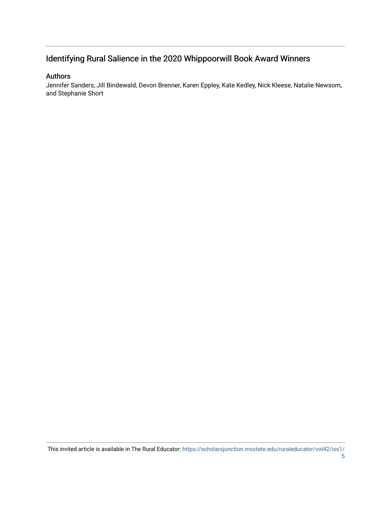# Identifying Rural Salience in the 2020 Whippoorwill Book Award Winners

## Authors

Jennifer Sanders, Jill Bindewald, Devon Brenner, Karen Eppley, Kate Kedley, Nick Kleese, Natalie Newsom, and Stephanie Short

This invited article is available in The Rural Educator: [https://scholarsjunction.msstate.edu/ruraleducator/vol42/iss1/](https://scholarsjunction.msstate.edu/ruraleducator/vol42/iss1/5)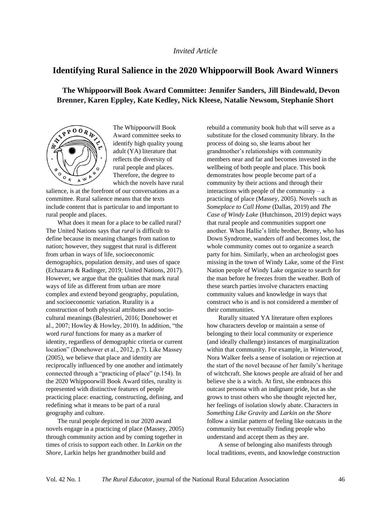#### *Invited Article*

# **Identifying Rural Salience in the 2020 Whippoorwill Book Award Winners**

# **The Whippoorwill Book Award Committee: Jennifer Sanders, Jill Bindewald, Devon Brenner, Karen Eppley, Kate Kedley, Nick Kleese, Natalie Newsom, Stephanie Short**



The Whippoorwill Book Award committee seeks to identify high quality young adult (YA) literature that reflects the diversity of rural people and places. Therefore, the degree to which the novels have rural

salience, is at the forefront of our conversations as a committee. Rural salience means that the texts include content that is particular to and important to rural people and places.

What does it mean for a place to be called rural? The United Nations says that *rural* is difficult to define because its meaning changes from nation to nation; however, they suggest that rural is different from urban in ways of life, socioeconomic demographics, population density, and uses of space (Echazarra & Radinger, 2019; United Nations, 2017). However, we argue that the qualities that mark rural ways of life as different from urban are more complex and extend beyond geography, population, and socioeconomic variation. Rurality is a construction of both physical attributes and sociocultural meanings (Balestrieri, 2016; Donehower et al., 2007; Howley & Howley, 2010). In addition, "the word *rural* functions for many as a marker of identity, regardless of demographic criteria or current location" (Donehower et al., 2012, p.7). Like Massey (2005), we believe that place and identity are reciprocally influenced by one another and intimately connected through a "practicing of place" (p.154). In the 2020 Whippoorwill Book Award titles, rurality is represented with distinctive features of people practicing place: enacting, constructing, defining, and redefining what it means to be part of a rural geography and culture.

The rural people depicted in our 2020 award novels engage in a practicing of place (Massey, 2005) through community action and by coming together in times of crisis to support each other. In *Larkin on the Shore*, Larkin helps her grandmother build and

rebuild a community book hub that will serve as a substitute for the closed community library. In the process of doing so, she learns about her grandmother's relationships with community members near and far and becomes invested in the wellbeing of both people and place. This book demonstrates how people become part of a community by their actions and through their interactions with people of the community  $- a$ practicing of place (Massey, 2005). Novels such as *Someplace to Call Home* (Dallas, 2019) and *The Case of Windy Lake* (Hutchinson, 2019) depict ways that rural people and communities support one another. When Hallie's little brother, Benny, who has Down Syndrome, wanders off and becomes lost, the whole community comes out to organize a search party for him. Similarly, when an archeologist goes missing in the town of Windy Lake, some of the First Nation people of Windy Lake organize to search for the man before he freezes from the weather. Both of these search parties involve characters enacting community values and knowledge in ways that construct who is and is not considered a member of their communities.

Rurally situated YA literature often explores how characters develop or maintain a sense of belonging to their local community or experience (and ideally challenge) instances of marginalization within that community. For example, in *Winterwood*, Nora Walker feels a sense of isolation or rejection at the start of the novel because of her family's heritage of witchcraft. She knows people are afraid of her and believe she is a witch. At first, she embraces this outcast persona with an indignant pride, but as she grows to trust others who she thought rejected her, her feelings of isolation slowly abate. Characters in *Something Like Gravity* and *Larkin on the Shore* follow a similar pattern of feeling like outcasts in the community but eventually finding people who understand and accept them as they are.

A sense of belonging also manifests through local traditions, events, and knowledge construction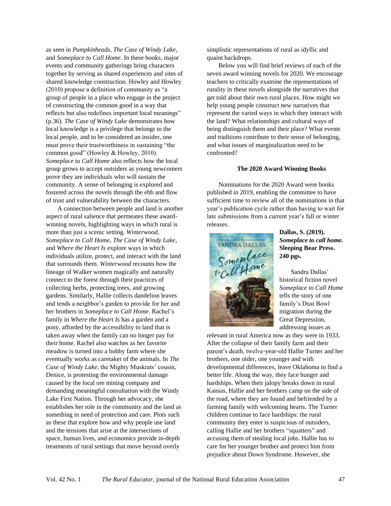as seen in *Pumpkinheads*, *The Case of Windy Lake*, and *Someplace to Call Home*. In these books, major events and community gatherings bring characters together by serving as shared experiences and sites of shared knowledge construction. Howley and Howley (2010) propose a definition of community as "a group of people in a place who engage in the project of constructing the common good in a way that reflects but also redefines important local meanings" (p.36). *The Case of Windy Lake* demonstrates how local knowledge is a privilege that belongs to the local people, and to be considered an insider, one must prove their trustworthiness in sustaining "the common good" (Howley & Howley, 2010). *Someplace to Call Home* also reflects how the local group grows to accept outsiders as young newcomers prove they are individuals who will sustain the community. A sense of belonging is explored and fostered across the novels through the ebb and flow of trust and vulnerability between the characters.

A connection between people and land is another aspect of rural salience that permeates these awardwinning novels, highlighting ways in which rural is more than just a scenic setting. *Winterwood*, *Someplace to Call Home*, *The Case of Windy Lake*, and *Where the Heart Is* explore ways in which individuals utilize, protect, and interact with the land that surrounds them. *Winterwood* recounts how the lineage of Walker women magically and naturally connect to the forest through their practices of collecting herbs, protecting trees, and growing gardens. Similarly, Hallie collects dandelion leaves and tends a neighbor's garden to provide for her and her brothers in *Someplace to Call Home*. Rachel's family in *Where the Heart Is* has a garden and a pony, afforded by the accessibility to land that is taken away when the family can no longer pay for their home. Rachel also watches as her favorite meadow is turned into a hobby farm where she eventually works as caretaker of the animals. In *The Case of Windy Lake*, the Mighty Muskrats' cousin, Denice, is protesting the environmental damage caused by the local ore mining company and demanding meaningful consultation with the Windy Lake First Nation. Through her advocacy, she establishes her role in the community and the land as something in need of protection and care. Plots such as these that explore how and why people use land and the tensions that arise at the intersections of space, human lives, and economics provide in-depth treatments of rural settings that move beyond overly

simplistic representations of rural as idyllic and quaint backdrops.

Below you will find brief reviews of each of the seven award winning novels for 2020. We encourage teachers to critically examine the representations of rurality in these novels alongside the narratives that get told about their own rural places. How might we help young people construct new narratives that represent the varied ways in which they interact with the land? What relationships and cultural ways of being distinguish them and their place? What events and traditions contribute to their sense of belonging, and what issues of marginalization need to be confronted?

#### **The 2020 Award Winning Books**

Nominations for the 2020 Award were books published in 2019, enabling the committee to have sufficient time to review all of the nominations in that year's publication cycle rather than having to wait for late submissions from a current year's fall or winter releases.



**Dallas, S. (2019).**  *Someplace to call home.*  **Sleeping Bear Press. 240 pgs.** 

Sandra Dallas' historical fiction novel *Someplace to Call Home*  tells the story of one family's Dust Bowl migration during the Great Depression, addressing issues as

relevant in rural America now as they were in 1933. After the collapse of their family farm and their parent's death, twelve-year-old Hallie Turner and her brothers, one older, one younger and with developmental differences, leave Oklahoma to find a better life. Along the way, they face hunger and hardships. When their jalopy breaks down in rural Kansas, Hallie and her brothers camp on the side of the road, where they are found and befriended by a farming family with welcoming hearts. The Turner children continue to face hardships: the rural community they enter is suspicious of outsiders, calling Hallie and her brothers "squatters" and accusing them of stealing local jobs. Hallie has to care for her younger brother and protect him from prejudice about Down Syndrome. However, she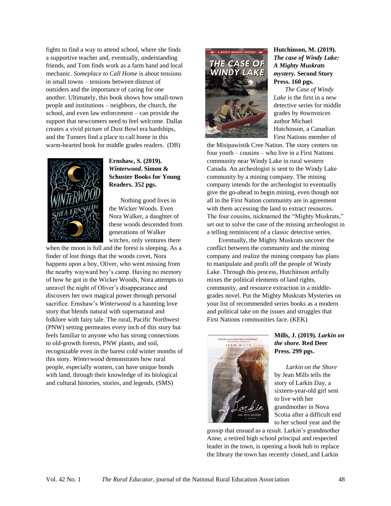fights to find a way to attend school, where she finds a supportive teacher and, eventually, understanding friends, and Tom finds work as a farm hand and local mechanic. *Someplace to Call Home* is about tensions in small towns – tensions between distrust of outsiders and the importance of caring for one another. Ultimately, this book shows how small-town people and institutions – neighbors, the church, the school, and even law enforcement – can provide the support that newcomers need to feel welcome. Dallas creates a vivid picture of Dust Bowl era hardships, and the Turners find a place to call home in this warm-hearted book for middle grades readers. (DB)



## **Ernshaw, S. (2019).**  *Winterwood***. Simon & Schuster Books for Young Readers. 352 pgs.**

Nothing good lives in the Wicker Woods. Even Nora Walker, a daughter of these woods descended from generations of Walker witches, only ventures there

when the moon is full and the forest is sleeping. As a finder of lost things that the woods covet, Nora happens upon a boy, Oliver, who went missing from the nearby wayward boy's camp. Having no memory of how he got in the Wicker Woods, Nora attempts to unravel the night of Oliver's disappearance and discovers her own magical power through personal sacrifice. Ernshaw's *Winterwood* is a haunting love story that blends natural with supernatural and folklore with fairy tale. The rural, Pacific Northwest (PNW) setting permeates every inch of this story but feels familiar to anyone who has strong connections to old-growth forests, PNW plants, and soil, recognizable even in the barest cold winter months of this story. *Winterwood* demonstrates how rural people, especially women, can have unique bonds with land, through their knowledge of its biological and cultural histories, stories, and legends. (SMS)



## **Hutchinson, M. (2019).**  *The case of Windy Lake: A Mighty Muskrats mystery.* **Second Story Press. 160 pgs.**

*The Case of Windy Lake* is the first in a new detective series for middle grades by #ownvoices author Michael Hutchinson, a Canadian First Nations member of

the Misipawistik Cree Nation. The story centers on four youth – cousins – who live in a First Nations community near Windy Lake in rural western Canada. An archeologist is sent to the Windy Lake community by a mining company. The mining company intends for the archeologist to eventually give the go-ahead to begin mining, even though not all in the First Nation community are in agreement with them accessing the land to extract resources. The four cousins, nicknamed the "Mighty Muskrats," set out to solve the case of the missing archeologist in a telling reminiscent of a classic detective series.

Eventually, the Mighty Muskrats uncover the conflict between the community and the mining company and realize the mining company has plans to manipulate and profit off the people of Windy Lake. Through this process, Hutchinson artfully mixes the political elements of land rights, community, and resource extraction in a middlegrades novel. Put the Mighty Muskrats Mysteries on your list of recommended series books as a modern and political take on the issues and struggles that First Nations communities face. (KEK)



#### **Mills, J. (2019).** *Larkin on the shore.* **Red Deer Press. 299 pgs.**

*Larkin on the Shore* by Jean Mills tells the story of Larkin Day, a sixteen-year-old girl sent to live with her grandmother in Nova Scotia after a difficult end to her school year and the

gossip that ensued as a result. Larkin's grandmother Anne, a retired high school principal and respected leader in the town, is opening a book hub to replace the library the town has recently closed, and Larkin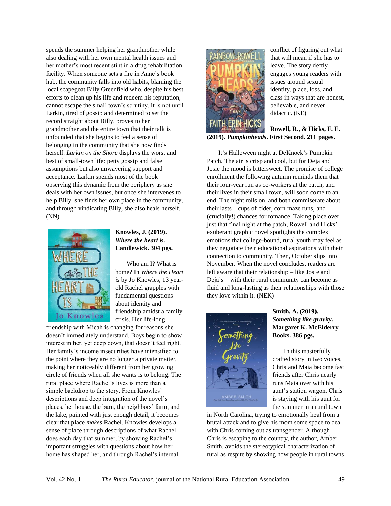spends the summer helping her grandmother while also dealing with her own mental health issues and her mother's most recent stint in a drug rehabilitation facility. When someone sets a fire in Anne's book hub, the community falls into old habits, blaming the local scapegoat Billy Greenfield who, despite his best efforts to clean up his life and redeem his reputation, cannot escape the small town's scrutiny. It is not until Larkin, tired of gossip and determined to set the record straight about Billy, proves to her grandmother and the entire town that their talk is unfounded that she begins to feel a sense of belonging in the community that she now finds herself. *Larkin on the Shore* displays the worst and best of small-town life: petty gossip and false assumptions but also unwavering support and acceptance. Larkin spends most of the book observing this dynamic from the periphery as she deals with her own issues, but once she intervenes to help Billy, she finds her own place in the community, and through vindicating Billy, she also heals herself. (NN)



## **Knowles, J. (2019).**  *Where the heart is.* **Candlewick. 304 pgs.**

Who am I? What is home? In *Where the Heart is* by Jo Knowles, 13 yearold Rachel grapples with fundamental questions about identity and friendship amidst a family crisis. Her life-long

friendship with Micah is changing for reasons she doesn't immediately understand. Boys begin to show interest in her, yet deep down, that doesn't feel right. Her family's income insecurities have intensified to the point where they are no longer a private matter, making her noticeably different from her growing circle of friends when all she wants is to belong. The rural place where Rachel's lives is more than a simple backdrop to the story. From Knowles' descriptions and deep integration of the novel's places, her house, the barn, the neighbors' farm, and the lake, painted with just enough detail, it becomes clear that place *makes* Rachel. Knowles develops a sense of place through descriptions of what Rachel does each day that summer, by showing Rachel's important struggles with questions about how her home has shaped her, and through Rachel's internal



conflict of figuring out what that will mean if she has to leave. The story deftly engages young readers with issues around sexual identity, place, loss, and class in ways that are honest, believable, and never didactic. (KE)

**Rowell, R., & Hicks, F. E. (2019).** *Pumpkinheads***. First Second. 211 pages.** 

It's Halloween night at DeKnock's Pumpkin Patch. The air is crisp and cool, but for Deja and Josie the mood is bittersweet. The promise of college enrollment the following autumn reminds them that their four-year run as co-workers at the patch, and their lives in their small town, will soon come to an end. The night rolls on, and both commiserate about their lasts – cups of cider, corn maze runs, and (crucially!) chances for romance. Taking place over just that final night at the patch, Rowell and Hicks' exuberant graphic novel spotlights the complex emotions that college-bound, rural youth may feel as they negotiate their educational aspirations with their connection to community. Then, October slips into November. When the novel concludes, readers are left aware that their relationship – like Josie and Deja's – with their rural community can become as fluid and long-lasting as their relationships with those they love within it. (NEK)



## **Smith, A. (2019).**  *Something like gravity.* **Margaret K. McElderry Books. 386 pgs.**

In this masterfully crafted story in two voices, Chris and Maia become fast friends after Chris nearly runs Maia over with his aunt's station wagon. Chris is staying with his aunt for the summer in a rural town

in North Carolina, trying to emotionally heal from a brutal attack and to give his mom some space to deal with Chris coming out as transgender. Although Chris is escaping to the country, the author, Amber Smith, avoids the stereotypical characterization of rural as respite by showing how people in rural towns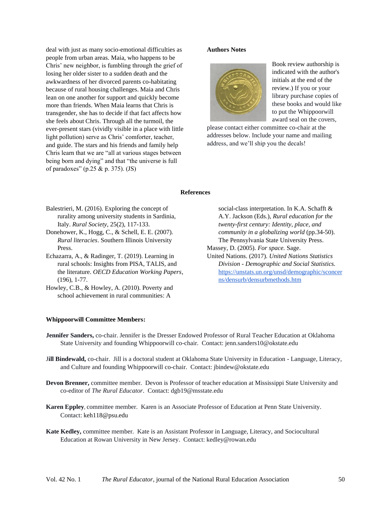deal with just as many socio-emotional difficulties as people from urban areas. Maia, who happens to be Chris' new neighbor, is fumbling through the grief of losing her older sister to a sudden death and the awkwardness of her divorced parents co-habitating because of rural housing challenges. Maia and Chris lean on one another for support and quickly become more than friends. When Maia learns that Chris is transgender, she has to decide if that fact affects how she feels about Chris. Through all the turmoil, the ever-present stars (vividly visible in a place with little light pollution) serve as Chris' comforter, teacher, and guide. The stars and his friends and family help Chris learn that we are "all at various stages between being born and dying" and that "the universe is full of paradoxes" (p.25 & p. 375). (JS)

#### **Authors Notes**



Book review authorship is indicated with the author's initials at the end of the review.) If you or your library purchase copies of these books and would like to put the Whippoorwill award seal on the covers,

please contact either committee co-chair at the addresses below. Include your name and mailing address, and we'll ship you the decals!

#### **References**

- Balestrieri, M. (2016). Exploring the concept of rurality among university students in Sardinia, Italy. *Rural Society*, 25(2), 117-133.
- Donehower, K., Hogg, C., & Schell, E. E. (2007). *Rural literacies*. Southern Illinois University Press.
- Echazarra, A., & Radinger, T. (2019). Learning in rural schools: Insights from PISA, TALIS, and the literature. *OECD Education Working Papers*, (196), 1-77.
- Howley, C.B., & Howley, A. (2010). Poverty and school achievement in rural communities: A

#### **Whippoorwill Committee Members:**

social-class interpretation. In K.A. Schafft & A.Y. Jackson (Eds.), *Rural education for the twenty-first century: Identity, place, and community in a globalizing world* (pp.34-50). The Pennsylvania State University Press.

- Massey, D. (2005). *For space.* Sage.
- United Nations. (2017). *United Nations Statistics Division - Demographic and Social Statistics.* [https://unstats.un.org/unsd/demographic/sconcer](https://unstats.un.org/unsd/demographic/sconcerns/densurb/densurbmethods.htm) [ns/densurb/densurbmethods.htm](https://unstats.un.org/unsd/demographic/sconcerns/densurb/densurbmethods.htm)
- **Jennifer Sanders,** co-chair. Jennifer is the Dresser Endowed Professor of Rural Teacher Education at Oklahoma State University and founding Whippoorwill co-chair. Contact: jenn.sanders10@okstate.edu
- J**ill Bindewald,** co-chair.Jill is a doctoral student at Oklahoma State University in Education Language, Literacy, and Culture and founding Whippoorwill co-chair. Contact: jbindew@okstate.edu
- **Devon Brenner,** committee member. Devon is Professor of teacher education at Mississippi State University and co-editor of *The Rural Educator*. Contact: dgb19@msstate.edu
- **Karen Eppley**, committee member. Karen is an Associate Professor of Education at Penn State University. Contact: keh118@psu.edu
- **Kate Kedley,** committee member. Kate is an Assistant Professor in Language, Literacy, and Sociocultural Education at Rowan University in New Jersey. Contact: kedley@rowan.edu